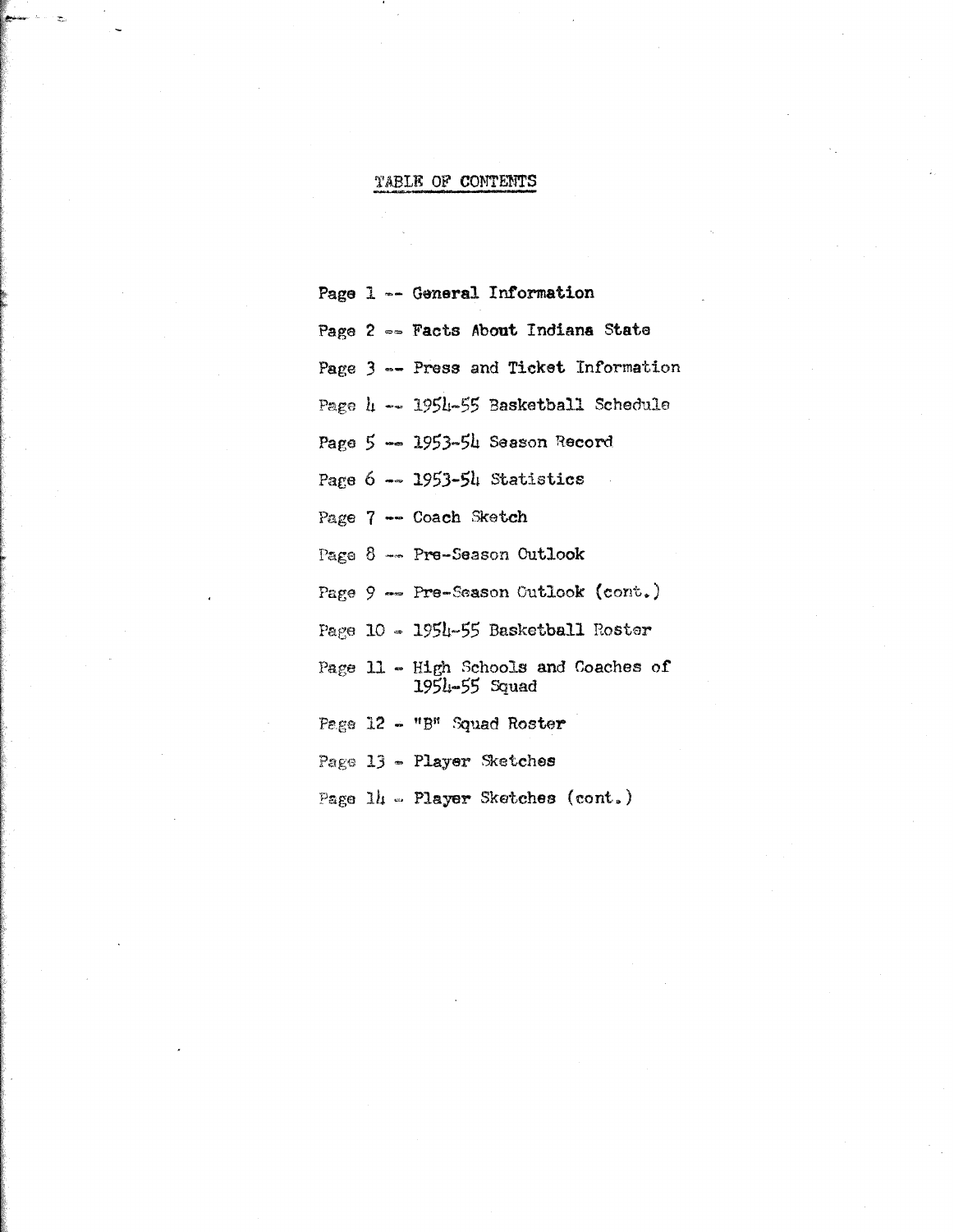# TABLE OF CONTENTS

Page 1 -- General Information

Page 2 -- Facts About Indiana State

Page 3 -- Press and Ticket Information

Page 4 -- 1954-55 Basketball Schedule

Page 5 -- 1953-54 Season Record

Page  $6 - 1953 - 54$  Statistics

Page 7 -- Coach Sketch

Page 8 -- Pre-Season Outlook

Page 9 -- Pre-Season Outlook (cont.)

Page 10 - 1954-55 Basketball Roster

Page 11 - High Schools and Coaches of  $1954 - 55$  Squad

Page 12 - "B" Squad Roster

Page 13 - Player Sketches

Page 14 - Player Sketches (cont.)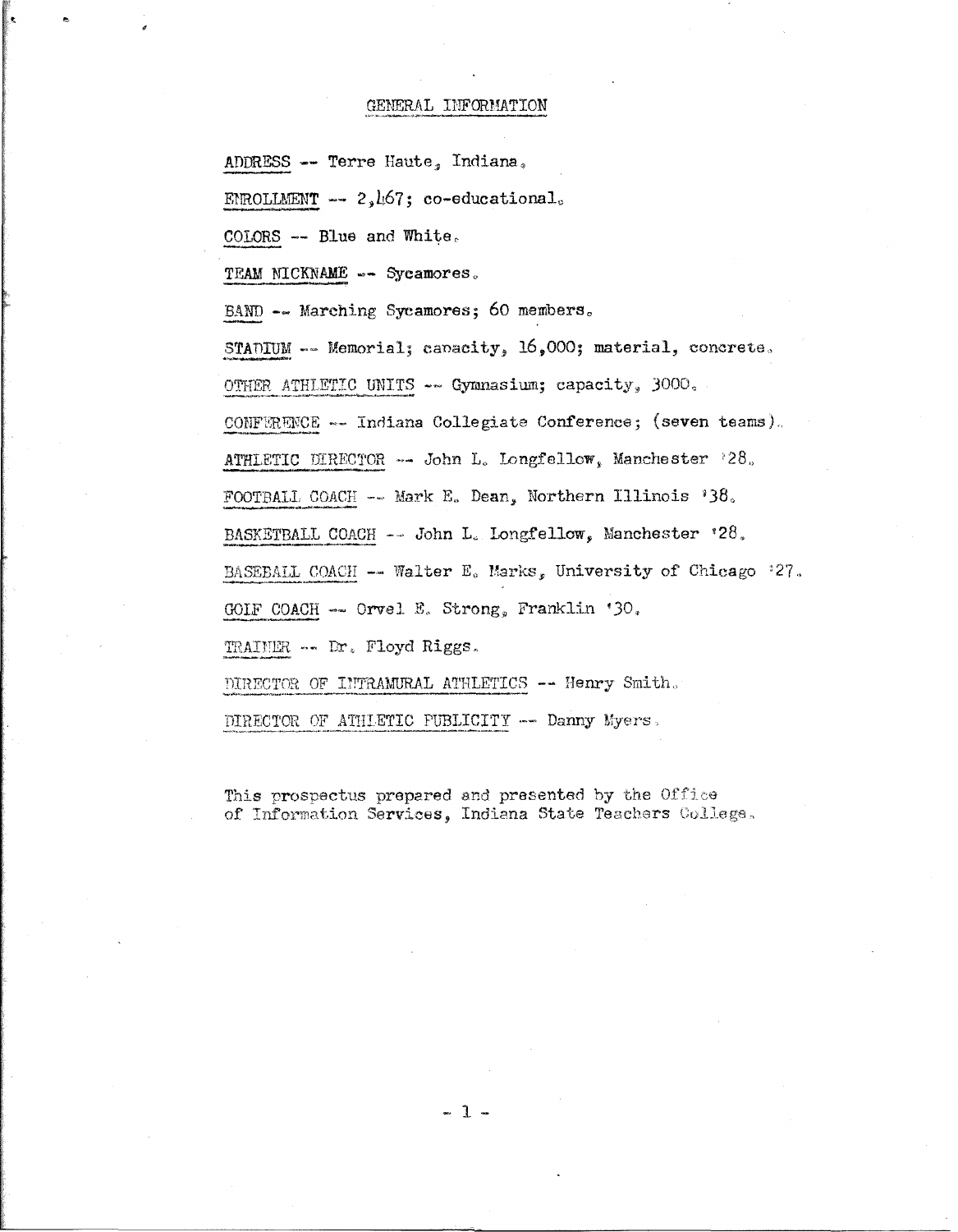#### GENERAL INFORMATION

ADDRESS -- Terre Haute, Indiana,

ENROLLMENT  $-- 2,167;$  co-educational.

COLORS -- Blue and White.

TEAM NICKNAME -- Sycamores.

BAND -- Marching Sycamores; 60 members.

STADIUM -- Memorial; capacity, 16,000; material, concrete.

OTHER ATHLETIC UNITS -- Gymnasium; capacity, 3000.

CONFERENCE -- Indiana Collegiate Conference; (seven teams).

ATHLETIC DIRECTOR -- John L. Longfellow, Manchester '28.

FOOTBALL COACH -- Mark E. Dean, Northern Illinois '38.

BASKETBALL COACH  $\sim$  John L. Longfellow, Manchester '28.

BASEBALL COACH -- Walter E. Marks, University of Chicago '27.

GOLF COACH -- Orvel E. Strong, Franklin '30.

TRAINER -- Dr. Floyd Riggs.

DIRECTOR OF INTRAMURAL ATHLETICS -- Henry Smith.

DIRECTOR OF ATHLETIC PUBLICITY -- Danny Myers.

This prospectus prepared and presented by the Office of Information Services, Indiana State Teachers College.

 $-1-$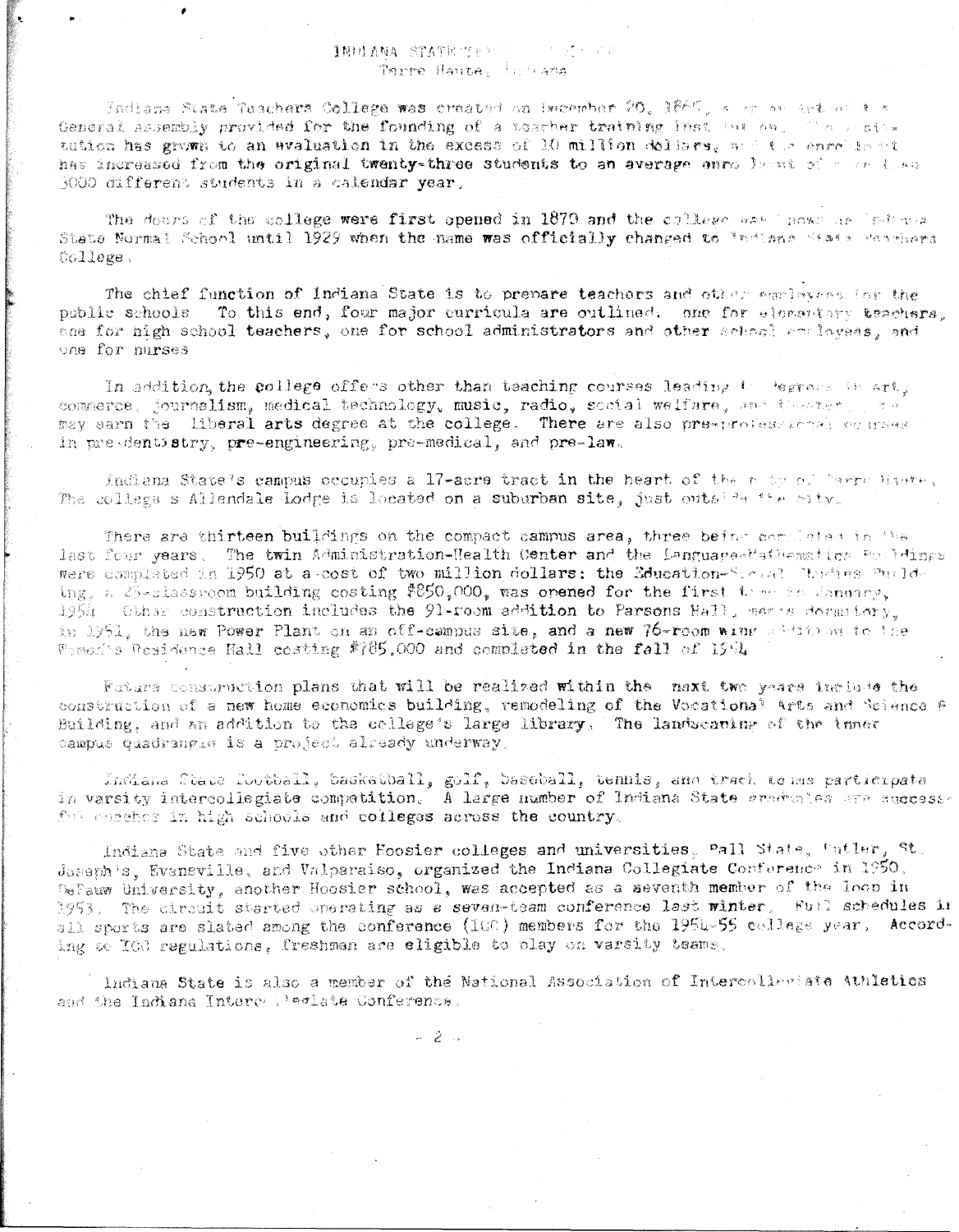# INDIANA STATE TEST TEST AND STATE Terre Haute. Indiana

Indiana State fuschers College was created on December 20, 1865, a or an art of a c General Assembly provided for the founding of a teacher training instance on the state tution has grown to an avaluation in the excess of 10 million dollars, and the enrollance has increased from the original twenty-three students to an average anrollesst of a cellen 1000 different students in a calendar vear.

The doors of the college were first opened in 1879 and the college was howe ne light was State Normal School until 1929 when the name was officially changed to Indiana State Porthers Gollege.

The chief function of Indiana State is to prepare teachers and other employees ing the public schools. To this end, four major curricula are outlined. one for elementary teachers. one for high school teachers, one for school administrators and other school enclosees, and one for nurses

In addition, the college offers other than teaching courses leading to degrees in art; commerce, journalism, medical technology, music, radio, social welfare, and increme ्<br>सामग्रीहरू may sarn the liberal arts degree at the college. There are also pre-professional connect in pre-dentistry, pre-engineering, pre-medical, and pre-law.

Indiana State's campus occupies a 17-acre tract in the heart of the note of "arre haver, The college s Allendale Lodge is located on a suburban site, just outside the city.

There are thirteen buildings on the compact campus area, three being completed in the last four years. The twin Administration-Health Center and the Language-Mathematics Pouldings were complated in 1950 at a cost of two million dollars: the Education-Scoval Thulias Puelding, a S-classroom building costing \$850,000, was opened for the first teme in January, 1954. Other construction includes the 91-room addition to Parsons Hall, means docamiony. is 1951, the new Power Plant on an off-campus site, and a new 76-room wing addition to the Women's Posidence Hall costing #785,000 and completed in the fall of 1994

Fature construction plans that will be realized within the naxt two years include the construction of a new home economics building, remodeling of the Vocational Arts and Science B Building, and an addition to the college's large library, The landscaping of the inner campus quadrangle is a project already underway.

Indiana State football, basketball, golf, baseball, tennis, and track towns participate in varsity intercollegiate competition. A large number of Indiana State areduales are successfor essehes in high schools and colleges across the country.

Indiana State and five other Hoosier colleges and universities, Pall State, Putler, St.  $\delta$ oseph's, Evansville, and Valparaiso, organized the Indiana Collegiate Conference in 1950. Defauw University, another Hoosier school, was accepted as a seventh member of the loop in 1953. The circuit started operating as a seven-team conference last winter. Full schedules in all sports are slated among the conference (100) members for the 1954-55 college year. According to TOO regulations. freshmen are eligible to play on varsity teams.

Indiana State is also a member of the National Association of Intercollegiate Athletics and the Indiana Interce Peciate Conference.

 $\sim$  2  $\sim$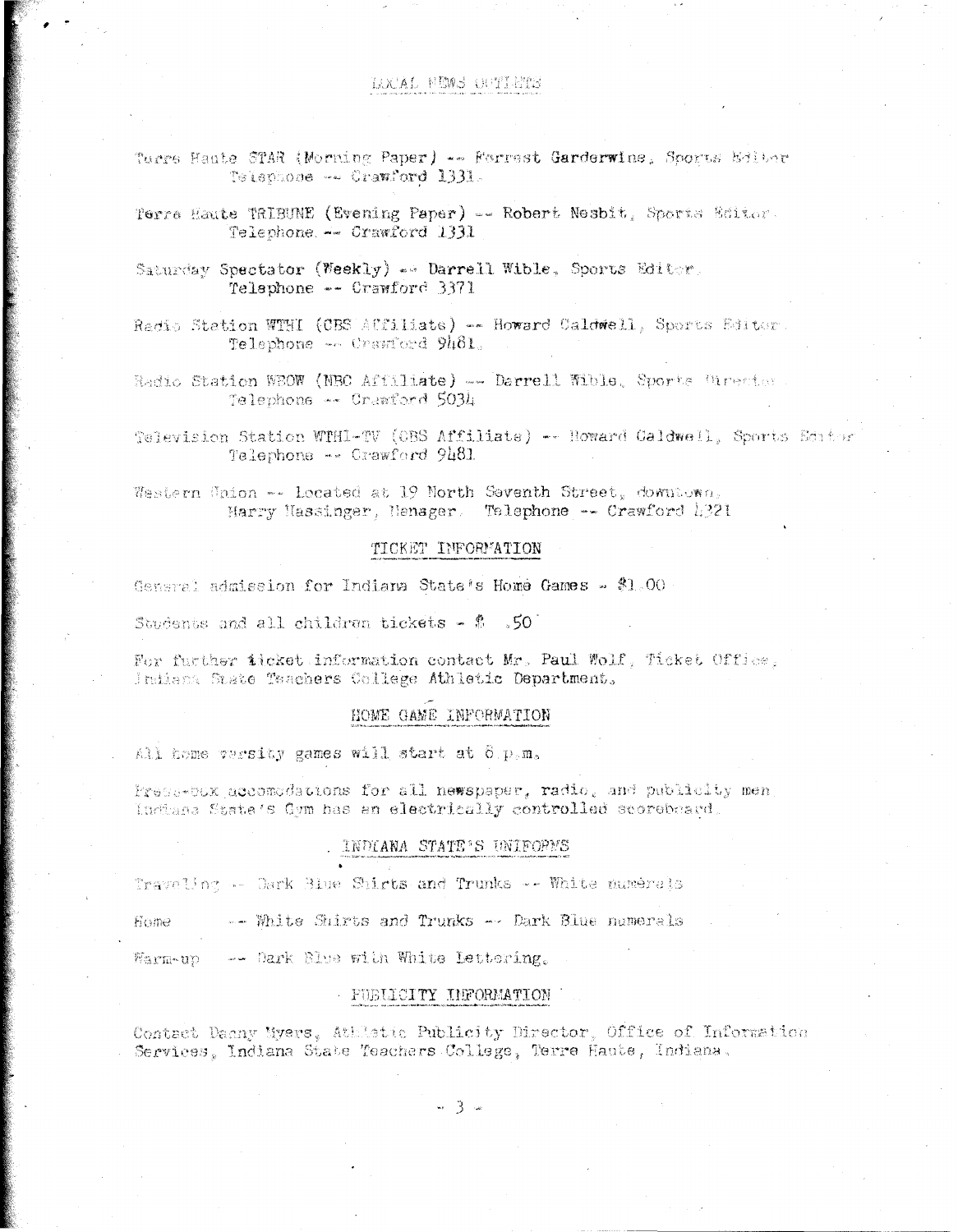# LOCAL FEWS CUTLETS

Terre Haute STAR (Morning Paper) -- Forrest Garderwine, Sports Editor Telephone -- Crawford 1331.

Terre Haute TRIBUNE (Evening Paper) == Robert Nesbit, Sports Editor. Telephone. -- Crawford 1331

Saturday Spectator (Weekly) . Darrell Wible, Sports Editor. Telephone -- Crawford 3371

Radio Station WTHI (CBS ACCiliate) -- Howard Caldwell, Sports Editor Telephone - Crawford 9481.

Radio Station WBOW (NBC Affiliate) -- Darrell Wible, Sports Utrector Telephone -- Crawford 5034

Television Station WTHI-TV (OBS Affiliate) -- Howard Caldwell, Sports Editor Telephone -- Crawford 9481

Western Union -- Located at 19 North Seventh Street, downtown, Harry Hassinger, Hanager. Telephone -- Crawford 1321

# TICKET INFORMATION

General admission for Indiana State's Home Games - \$1.00

Students and all children tickets -  $$$  .50

For further ticket information contact Mr. Paul Wolf, Ticket Office. Indiana State Taachers College Athletic Department.

# HOME GAME INFORMATION

All home versity games will start at 8.p.m.

Press-box accomodations for all newspaper, radio, and publicity men Indiana State's Gym has an electrically controlled scoreboard.

#### . INDIANA STATE'S UNIFORMS

Traveling -- Dark Blue Shirts and Trunks -- White numerals

-- White Shirts and Trunks -- Dark Blue numerals Home

Warm-un - -- Dark Blue with White Lettering.

### - PUBLICITY INFORMATION

Contact Danny Nyers, Athletic Publicity Director, Office of Information Services, Indiana State Teachars College, Terre Haute, Indiana.

 $\sim$  3  $\approx$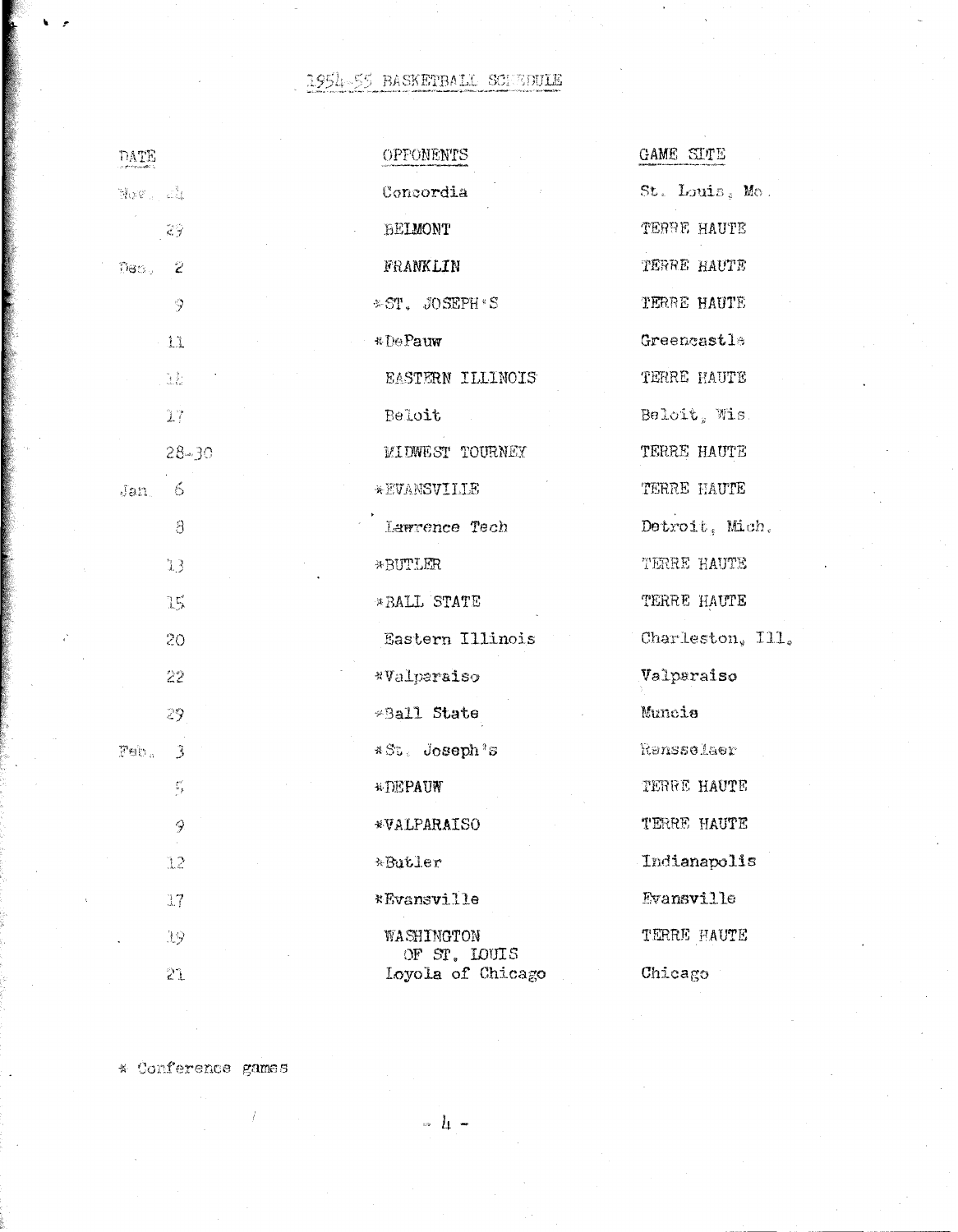# 1954-55 RASKETBALL SCHEDULE

| DATE                              | OPPONENTS                         | GAME SITE        |
|-----------------------------------|-----------------------------------|------------------|
| $\mathbb{N} \circ \mathbb{C}$ and | Concordia                         | St. Louis, Mo.   |
| $2\frac{1}{2}$                    | BELMONT                           | TERRE HAUTE      |
| $Res2 = 2$                        | FRANKLIN                          | TERRE HAUTE      |
| 9                                 | *ST. JOSEPH'S                     | TERRE HAUTE      |
| $-11$                             | *DePauw                           | Greencastle      |
| $\mathbb{R}^+$                    | EASTERN ILLINOIS                  | TERRE HAUTE      |
| $17\,$                            | Beloit                            | Beloit, Wis.     |
| $28 - 30$                         | MIDWEST TOURNEY                   | TERRE HAUTE      |
| 6<br>Jan                          | *EVANSVILLE                       | TERRE HAUTE      |
| $\beta$                           | Lawrence Tech                     | Detroit, Mich.   |
| 13                                | *BUTLER                           | TERRE HAUTE      |
| 15                                | *BALL STATE                       | TERRE HAUTE      |
| 20                                | Eastern Illinois                  | Charleston, Ill. |
| 22                                | *Valparaiso                       | Valparaiso       |
| 29                                | *Ball State                       | Muncie           |
| Pab.<br>$\ddot{3}$                | *St. Joseph's                     | Ransselaer       |
| $\sum_{i=1}^{n-1}$                | <b>*DEPAUW</b>                    | TERRE HAUTE      |
| 9                                 | *VALPARAISO                       | TERRE HAUTE      |
| 12                                | *Butler                           | Indianapolis     |
| 17                                | *Evansville                       | Evansville       |
| 19                                | WASHINGTON                        | TERRE HAUTE      |
| 21                                | OF ST. LOUIS<br>Loyola of Chicago | Chicago          |

\* Conference games

 $\hat{t}$ 

 $\begin{array}{cc} \circ & l_1 & = \end{array}$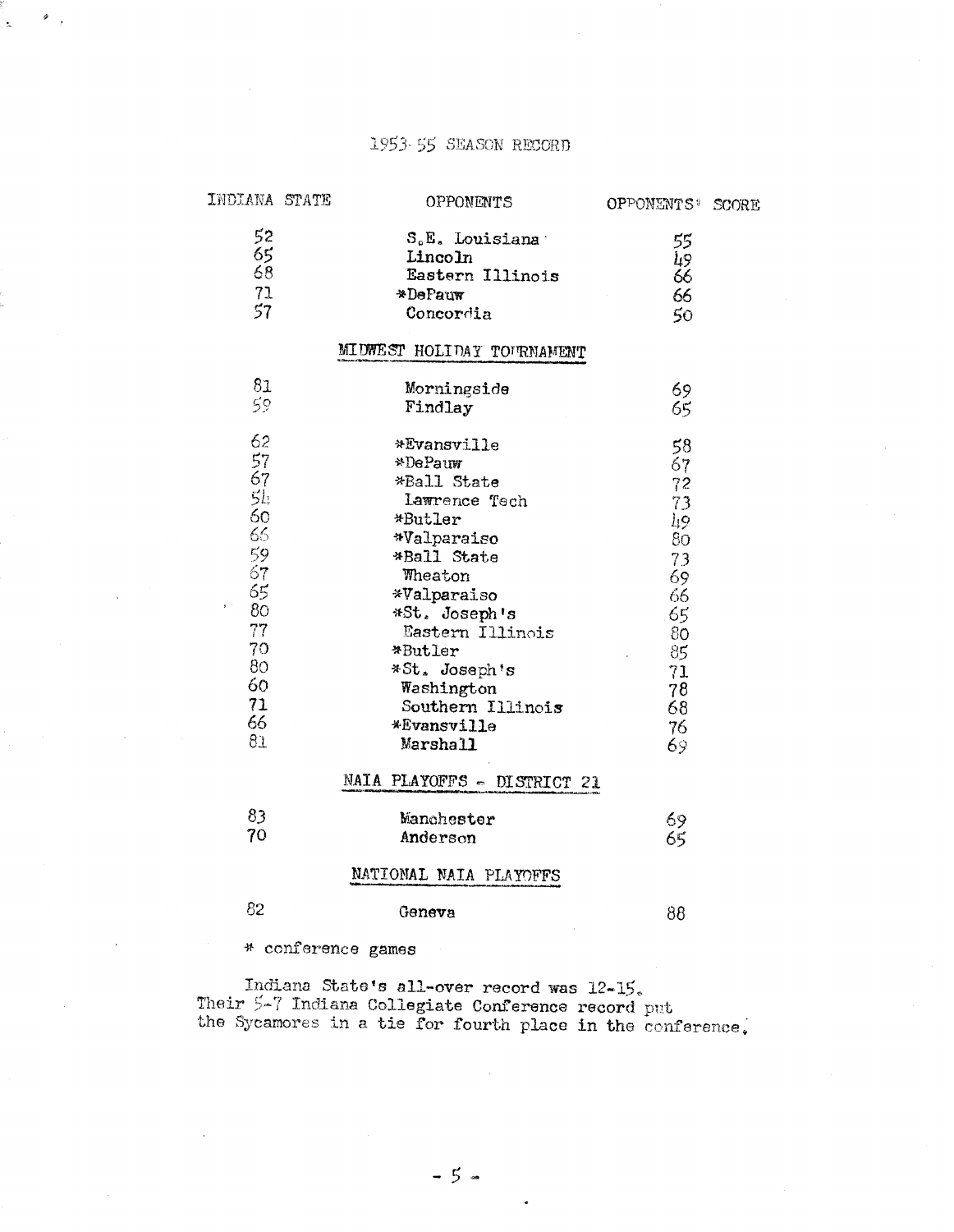# 1953-55 SEASON RECORD

| INDIANA STATE  | OPPONENTS                   | OPPONENTS <sup>#</sup> SCORE |  |
|----------------|-----------------------------|------------------------------|--|
| 52             | S.E. Louisiana              | 55                           |  |
|                | Lincoln                     | Ц9                           |  |
| $rac{65}{68}$  | Eastern Illinois            | 66                           |  |
| 71             | *DePauw                     | 66                           |  |
| 57             | Concordia                   | 50                           |  |
|                |                             |                              |  |
|                | MIUWEST HOLIDAY TOURNAMENT  |                              |  |
| 81             | Morningside                 | 69                           |  |
| 59             | Findlay                     | 65                           |  |
|                |                             |                              |  |
| 62             | *Evansville                 | 58                           |  |
| 57             | *DePauw                     | 67                           |  |
| 67             | *Ball State                 | 72                           |  |
| 5 <sub>k</sub> | Lawrence Tech               | 73                           |  |
| $rac{60}{66}$  | *Butler                     | $\frac{1}{80}$               |  |
|                | *Valparaiso                 |                              |  |
| 59             | *Ball State                 | 73                           |  |
| 67             | Wheaton                     | 69                           |  |
| 65             | *Valparaiso                 | 66                           |  |
| 80             | *St. Joseph's               | .65                          |  |
| $77\,$         | Eastern Illinois            | $80^{\circ}$                 |  |
| 70             | *Butler                     | 85                           |  |
| 80             | *St. Joseph's               | 71                           |  |
| 60             | Washington                  | 78                           |  |
| 71             | Southern Illinois           | 68                           |  |
| 66             | *Evansville                 | 76                           |  |
| 81             | Marshall                    | 69                           |  |
|                | NAIA PLAYOFFS - DISTRICT 21 |                              |  |
| 83             | Manchester                  | 69                           |  |
| 70             | Anderson                    | 65                           |  |
|                |                             |                              |  |
|                | NATIONAL NAIA PLAYOFFS      |                              |  |
| 82             | Geneva                      | 88                           |  |

\* conference games

Indiana State's all-over record was 12-15.<br>Their 5-7 Indiana Collegiate Conference record put<br>the Sycamores in a tie for fourth place in the conference.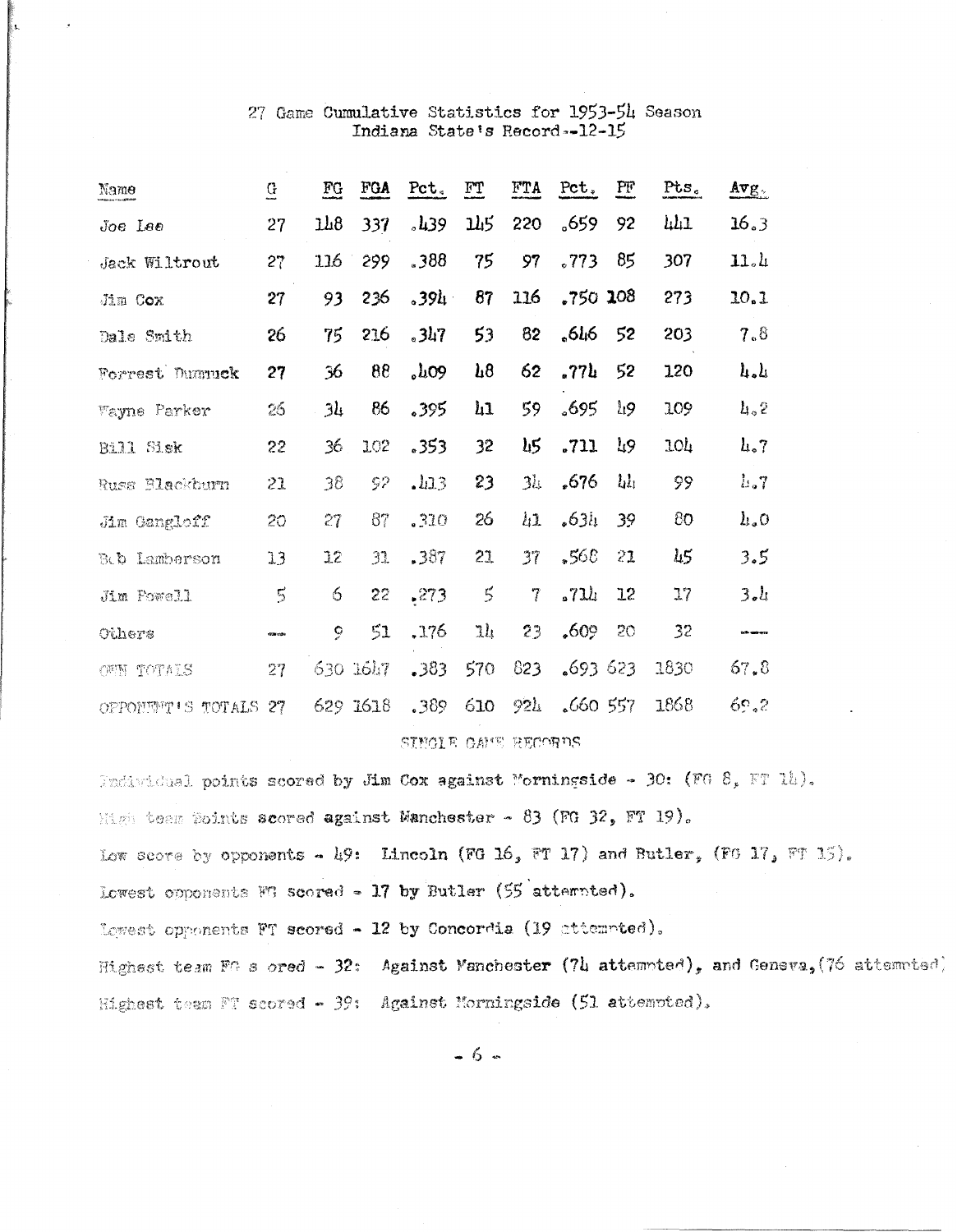# 27 Game Cumulative Statistics for 1953-54 Season Indiana State's Record--12-15

| Name                 | G         | $_{\rm FG}$    | FGA      | Pct.    | $\Gamma T$ | FTA   | $Pct_*$    | PF            | $Pts_{c}$       | $Avg_{\odot}$        |
|----------------------|-----------|----------------|----------|---------|------------|-------|------------|---------------|-----------------|----------------------|
| Joe Lee              | 27        | 1h8            | 337      | .139    | <b>145</b> | 220   | .659       | 92            | 441             | 16.3                 |
| <b>Jack Wiltrout</b> | 27        | 116            | 299      | .388    | 75         | 97    | .773       | 85            | 307             | 11.4                 |
| Jim Cox              | 27        | 93             | 236      | .39h    | 87         | 116   | $.750$ 108 |               | 273             | 10.1                 |
| Dale Smith           | 26        | 75             | 216      | $.3h$ 7 | 53         | 82    | ,646       | 52            | 203             | 7.8                  |
| Forrest Dummuck      | 27        | 36             | 88       | 0.109   | $\mu$ 8    | 62    | .77h       | 52            | 120             | $l_1, l_2$           |
| <b>Wayne Parker</b>  | 26        | 3 <sub>k</sub> | 86       | 395     | $\mu$      | 59    | .695       | $\frac{1}{2}$ | 109             | $l_1, 2$             |
| Bill Sisk            | 22        | 36             | 102      | .353    | 32         | Lι5   | .711       | ገ?            | 10 <sub>4</sub> | $l_{4.7}$            |
| Russ Blackburn       | 21        | 38             | 52       | .L13    | 23         | 3h    | .676       | $\mathbf{h}$  | 99              | $l_{\rm b}$ .        |
| Jim Gangloff         | 20        | 27             | 87       | .310    | 26         | $\mu$ | .63i.      | 39            | 80              | $h_{\alpha}0$        |
| Beb Lamberson        | 13        | 12             | 31       | .387    | 21         | 37    | .568       | 21            | $\mu$ 5         | 3.5                  |
| Jim Powell           | $\vec{5}$ | 6              | 22       | .273    | $\zeta$    | 7     | .711       | 12            | 17              | 3.1                  |
| Others               | 10001004  | 9              | 51       | .176    | ılı        | 23    | ,609       | 20            | 32              | <b>Andre Manuell</b> |
| OWN TOTALS           | 27        |                | 630 1647 | .383    | 570        | 823   | 693623     |               | 1830            | 67, 8                |
| OPPONEMY'S TOTALS    | 27        |                | 629 1618 | .389    | 610        | 921   | 660557     |               | 1868            | 69.2                 |

SINGLE CAME RECORDS

Individual points scored by Jim Cox against Morningside - 30: (FG 8, FT 14). Migh team Points scored against Manchester - 83 (FG 32, FT 19). Low secre by opponents - 19: Lincoln (FG 16, FT 17) and Butler, (FG 17, FT 15). Lowest opponents FG scored - 17 by Butler (55 attempted). Lowest opponents FT scored - 12 by Concordia (19 attempted). Highest team FG s ored - 32: Against Manchester  $(7h$  attempted), and Geneva, (76 attempted) Highest team FT scored - 39: Against Morningside (51 attempted).

 $-6-$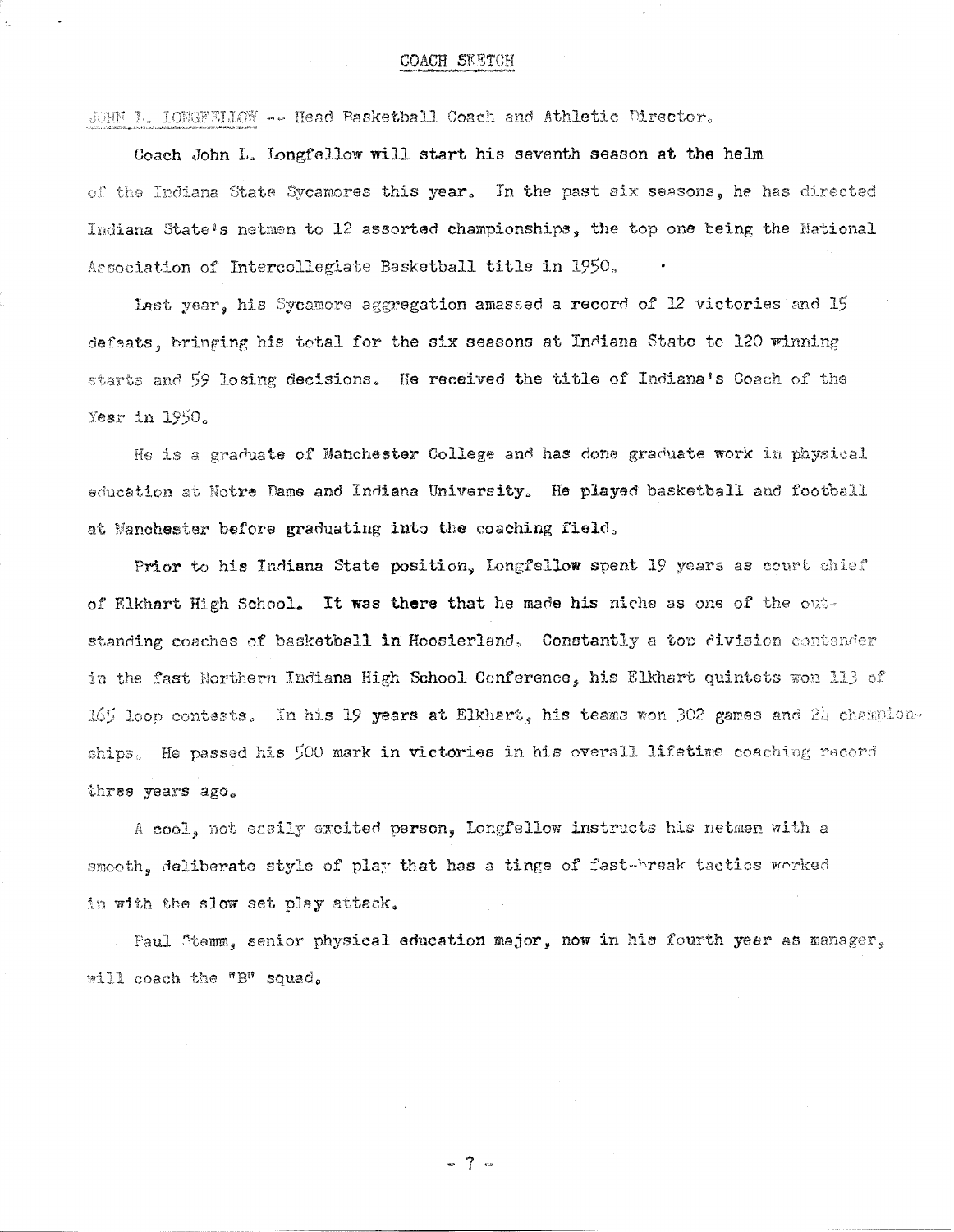# COACH SKETCH

JOHN L. LONGFELLOW -- Head Basketball Coach and Athletic Director.

Coach John L. Longfellow will start his seventh season at the helm of the Indiana State Sycamores this year. In the past six seasons, he has directed Indiana State's natmen to 12 assorted championships, the top one being the National Association of Intercollegiate Basketball title in 1950.

Last year, his Sycamore aggregation amassed a record of 12 victories and 15 defeats, bringing his total for the six seasons at Indiana State to 120 winning starts and 59 losing decisions. He received the title of Indiana's Coach of the Year in 1950.

He is a graduate of Manchester College and has done graduate work in physical education at Notre Dame and Indiana University. He played basketball and football at Manchester before graduating into the coaching field.

Prior to his Indiana State position, Longfellow spent 19 years as court chief of Elkhart High School. It was there that he made his niche as one of the outstanding coaches of basketball in Hoosierland. Constantly a top division contender in the fast Northern Indiana High School Conference, his Elkhart quintets won 113 of 165 loop contests. In his 19 years at Elkhart, his teams won 302 games and 24 championships. He passed his 500 mark in victories in his overall lifetime coaching record three years ago.

A cool, not easily excited person, Longfellow instructs his netmen with a smooth, deliberate style of play that has a tinge of fast-break tactics worked in with the slow set play attack.

. Faul Stemm, senior physical education major, now in his fourth year as manager, will coach the "B" squad.

 $-7$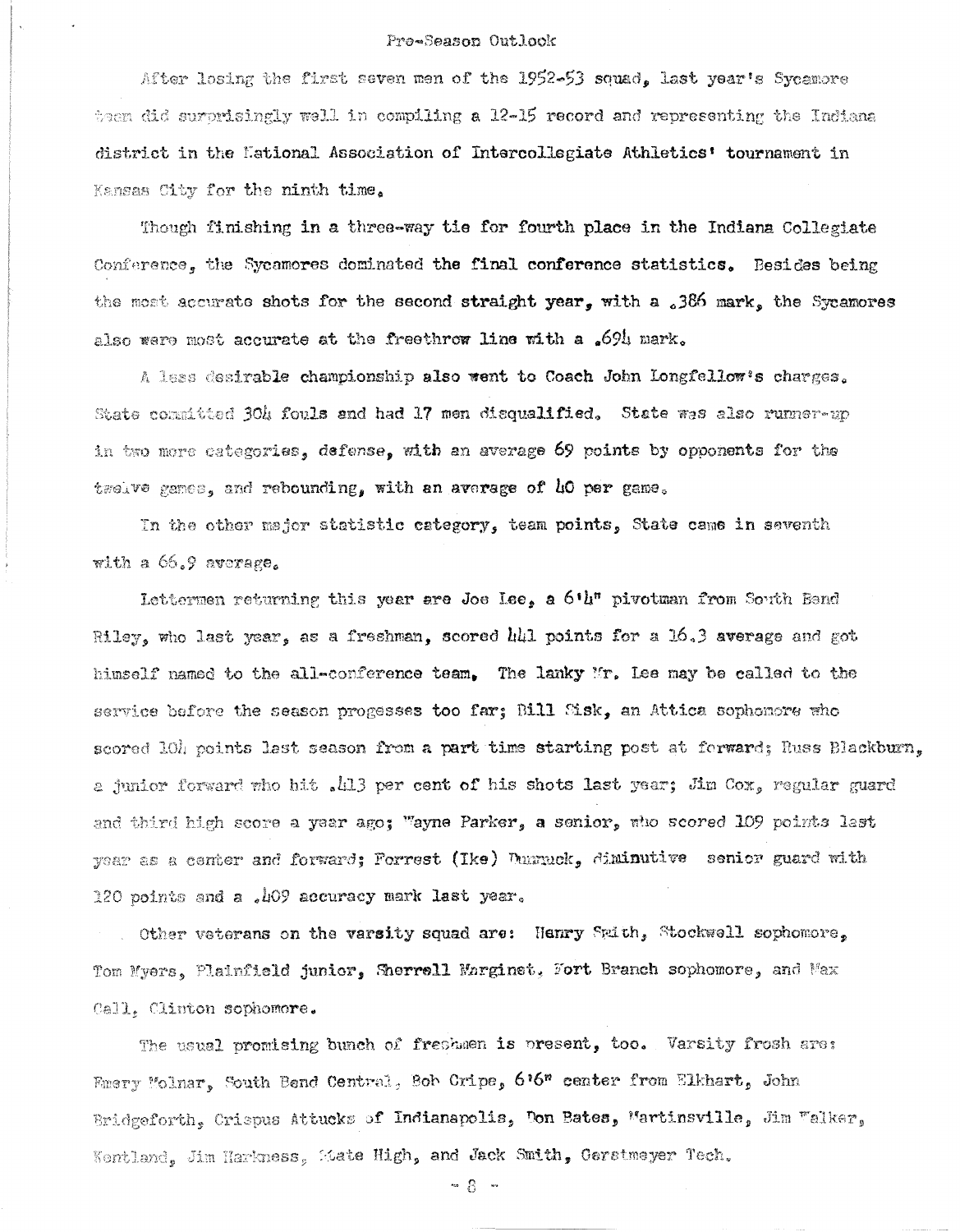#### Pro-Season Outlook

After losing the first seven men of the 1952-53 squad. last year's Sycamore tean did surprisingly well in compiling a 12-15 record and representing the Indiana district in the Eational Association of Intercollegiate Athletics' tournament in Kansas City for the ninth time.

Though finishing in a three-way tie for fourth place in the Indiana Collegiate Conference, the Sycamores dominated the final conference statistics. Besides being the most accurate shots for the second straight year, with a 386 mark, the Sycamores also were most accurate at the freethrow line with a .694 mark.

A less desirable championship also went to Coach John Longfellow's charges. State committed 304 fouls and had 17 men disqualified. State was also runner-up in two more categories, defense, with an average 69 points by opponents for the treave genes, and rebounding, with an average of 40 per game.

In the other major statistic category, team points, State came in seventh with a 66.9 average.

Lettermen returning this year are Joe Lee, a 6'u" pivotman from South Band Riley, who last year, as a freshman, scored hhl points for a 16.3 average and got himself named to the all-conference team, The lanky Mr. Lee may be called to the service before the season progesses too far; Bill Sisk, an Attica sophomore who scored 10h points lest season from a part time starting post at forward; Russ Blackburn. a junior forward who hit . 413 per cent of his shots last year; Jim Cox, regular guard and third high score a year ago; "ayne Parker, a senior, who scored 109 points last year as a center and forward; Forrest (Ike) Durnuck, diminutive senior guard with 120 points and a .409 accuracy mark last year.

. Other veterans on the varsity squad are: Henry Spith, Stockwell sophomore. Tom Myers, Plainfield junior, Sherrell Marginet, Fort Branch sophomore, and Max Call. Clinton sophomore.

The usual promising bunch of freshmen is present, too. Varsity frosh are: Emery Molnar, South Bend Central, Bob Cripe, 6'6" center from Elkhart, John Bridgeforth, Crispus Attucks of Indianapolis, Don Bates, Martinsville, Jim Walker, Kentland, Jim Harkness, Mate High, and Jack Smith, Gerstmeyer Tech.

 $-8 -$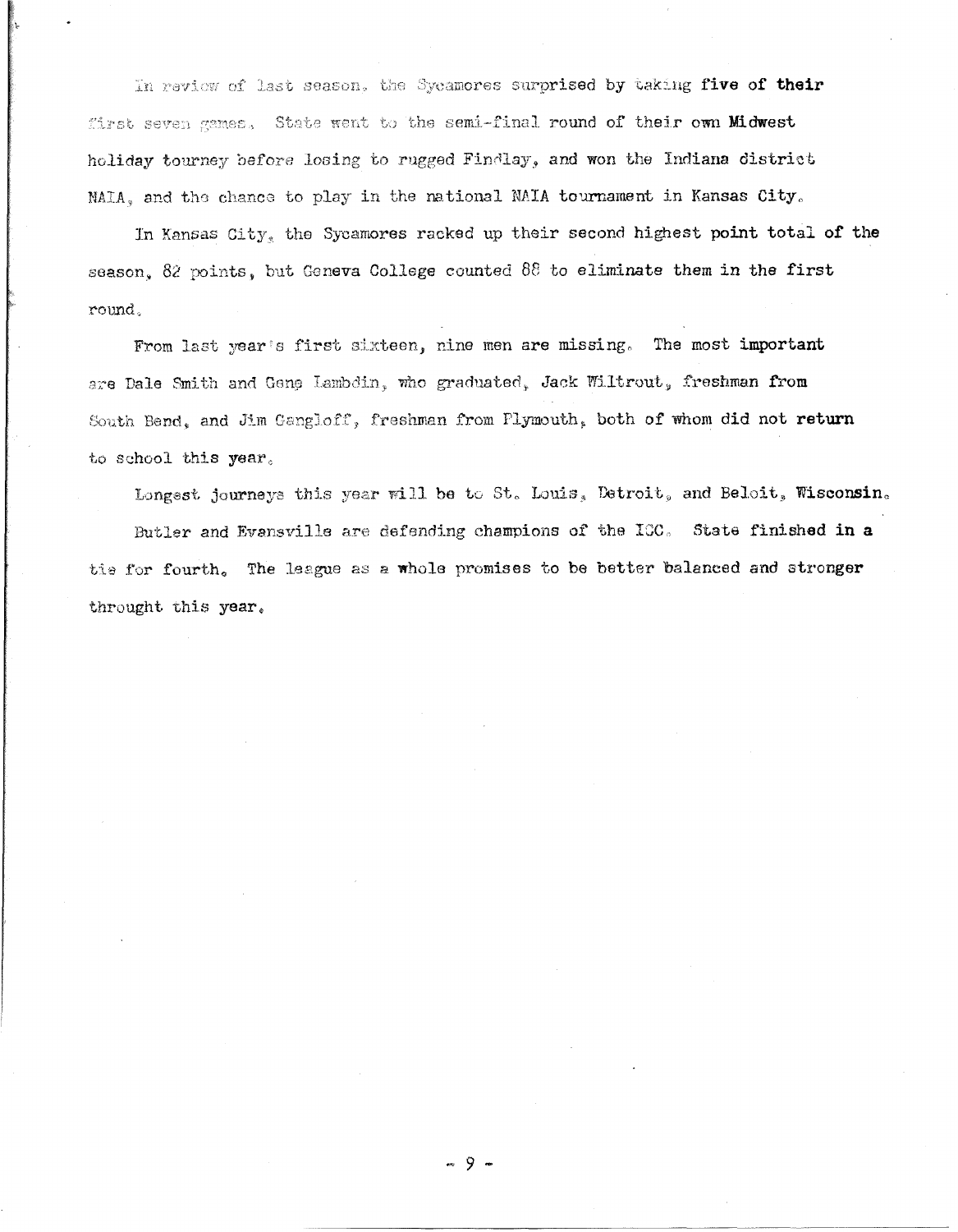In review of last season, the Sycamores surprised by taking five of their first seven games. State went to the semi-final round of their own Midwest holiday tourney before losing to rugged Findlay, and won the Indiana district NAIA, and the chance to play in the national NAIA tournament in Kansas City.

In Kansas City, the Sycamores racked up their second highest point total of the season. 82 points, but Geneva College counted 88 to eliminate them in the first round.

From last year's first sixteen, nine men are missing. The most important are Dale Smith and Gene Lambdin, who graduated, Jack Wiltrout, freshman from South Bend, and Jim Gangloff, freshman from Plymouth, both of whom did not return to school this year.

Longsst journeys this year will be to St. Louis, Detroit, and Beloit, Wisconsin. Butler and Evansville are defending champions of the ICC. State finished in a tie for fourth. The league as a whole promises to be better balanced and stronger throught this year.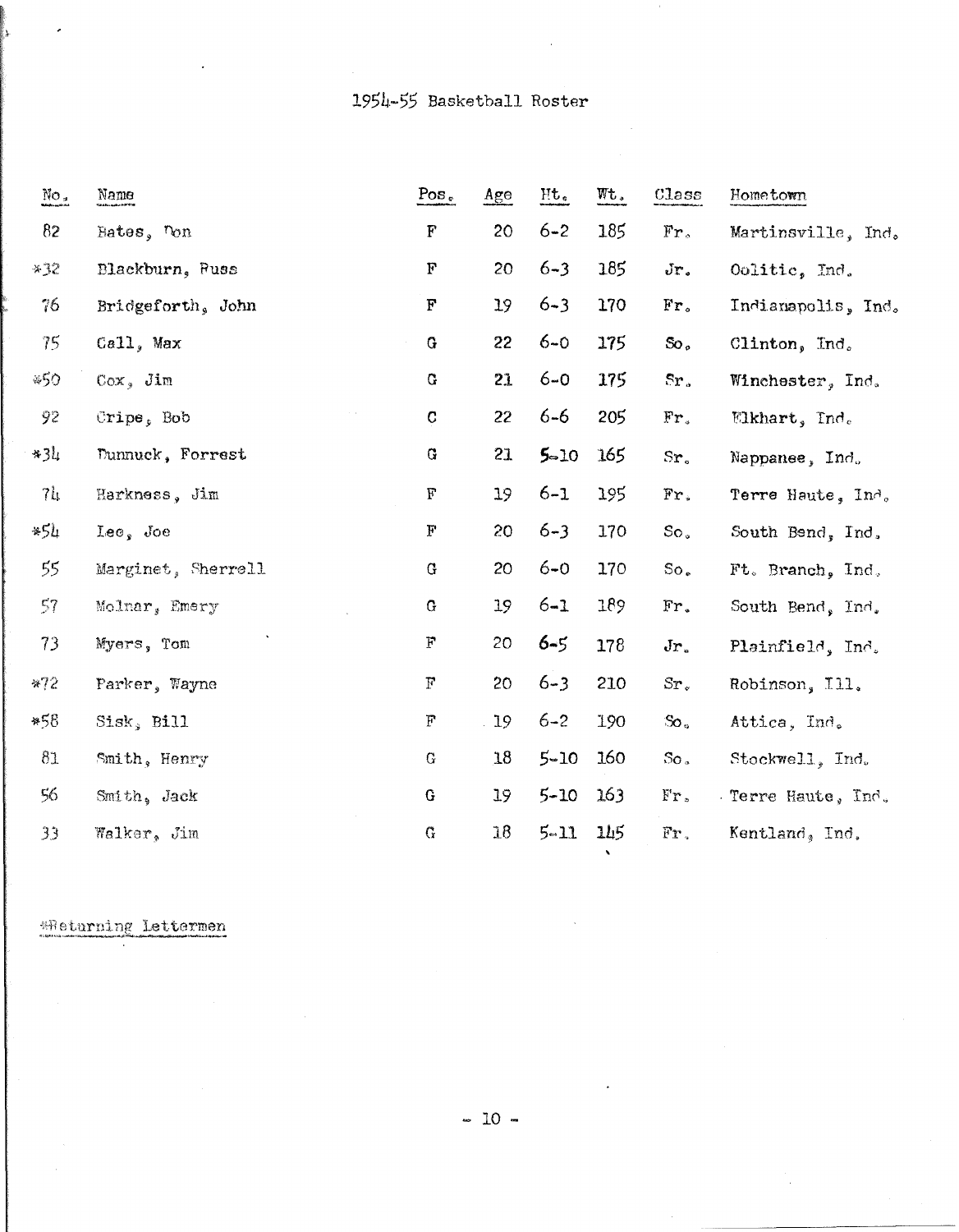| $\mathrm{No}_{\sigma}$ | Name               | $Pos_{e}$    | Age | Ht.      | Wt. | $\texttt{Class}$ | Hometown                 |
|------------------------|--------------------|--------------|-----|----------|-----|------------------|--------------------------|
| 82                     | Bates, Ton         | ${\bf F}$    | 20  | $6 - 2$  | 185 | $Fr_{\circ}$     | Martinsville, Ind.       |
| $*32$                  | Blackburn, Russ    | $\mathbf F$  | 20  | $6 - 3$  | 185 | $Jr$ .           | Oolitic, Ind.            |
| 76                     | Bridgeforth, John  | F            | 19  | $6 - 3$  | 170 | Fr <sub>o</sub>  | Indianapolis, Ind.       |
| 75                     | Ca11, Max          | G            | 22  | $6 - 0$  | 175 | So,              | Clinton, Ind.            |
| *50                    | $Cox$ , $Jim$      | G            | 21  | $6 - 0$  | 175 | Sr <sub>a</sub>  | Winchester, Ind.         |
| 92                     | Cripe, Bob         | $\mathbf C$  | 22  | $6 - 6$  | 205 | Fr.              | $\mathbb{E}$ khart, Ind. |
| $*34$                  | Dunnuck, Forrest   | $\bf G$      | 21  | $5 - 10$ | 165 | Sr <sub>e</sub>  | Nappanee, Ind.           |
| 7 <sub>h</sub>         | Harkness, Jim      | $\mathbf F$  | 19  | $6 - 1$  | 195 | Fr.              | Terre Haute, Ind.        |
| *54                    | $Leos$ Joe         | $\mathbf{F}$ | 20  | $6 - 3$  | 170 | So.              | South Bend, Ind.         |
| 55                     | Marginet, Sherrell | $\mathbf G$  | 20  | $6 - 0$  | 170 | So.              | Ft. Branch, Ind.         |
| 57                     | Molnar, Emery      | $\mathbf G$  | 19  | $6 - 1$  | 189 | Fr.              | South Bend, Ind.         |
| 73                     | Myers, Tom         | $\mathbf F$  | 20  | $6 - 5$  | 178 | $Jr_{\circ}$     | Plainfield, Ind.         |
| $*72$                  | Parker, Wayne      | $\mathbf{F}$ | 20  | $6 - 3$  | 210 | $Sr_{\ast}$      | Robinson, Ill.           |
| *58                    | Sisk, Bill         | $\mathbf{F}$ | 19  | $6 - 2$  | 190 | $\infty$ .       | Attica, Ind.             |
| 81                     | Smith, Henry       | G            | 18  | $5 - 10$ | 160 | $\rm{So}$ .      | Stockwell, Ind.          |
| 56                     | Smith, Jack        | G            | 19  | $5 - 10$ | 163 | $Fr$ .           | Terre Haute, Ind.        |
| 33                     | Walker, Jim        | G            | 18  | $5 - 11$ | 145 | Fr.              | Kentland, Ind.           |
|                        |                    |              |     |          |     |                  |                          |

\*Returning Lettermen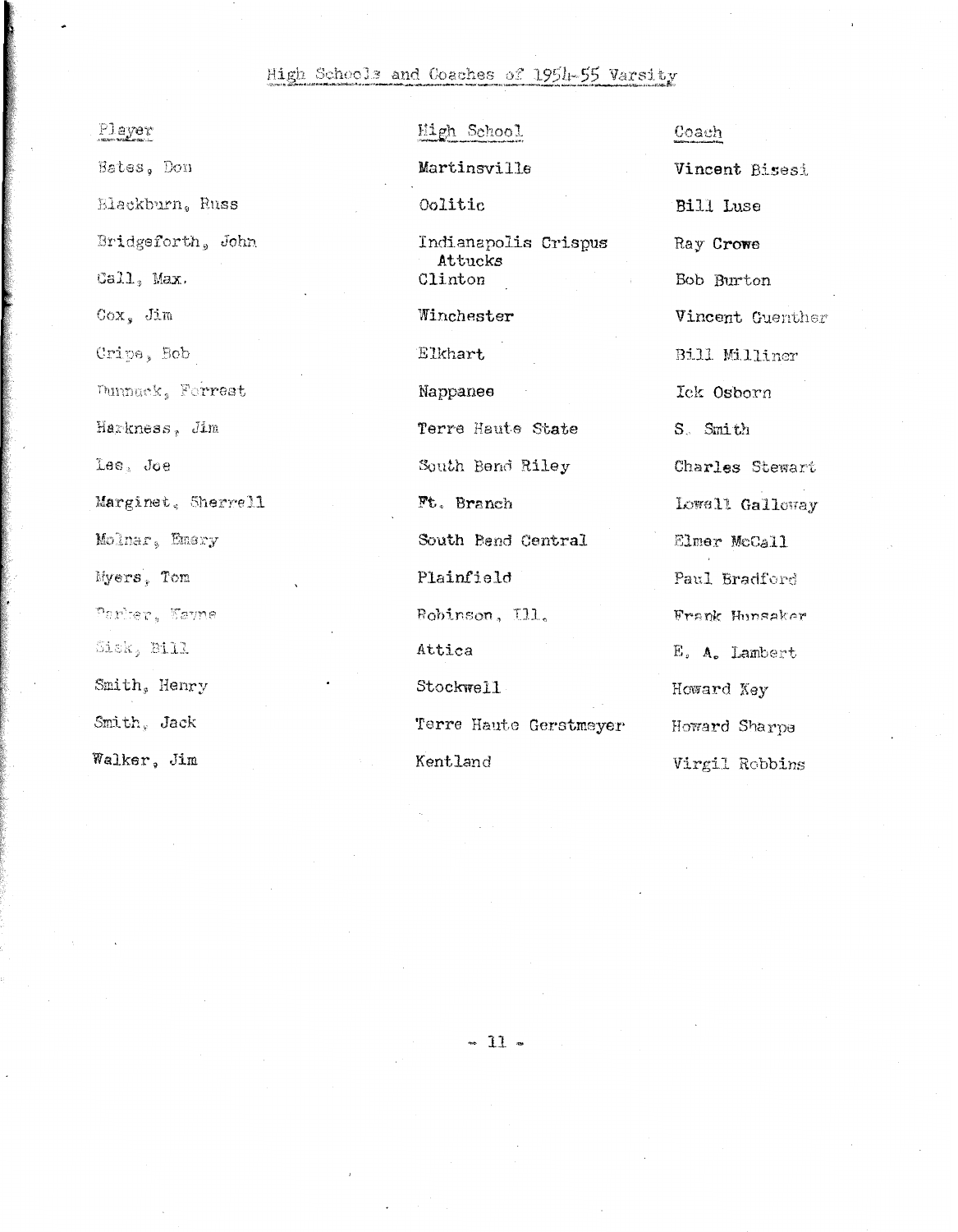# High Schools and Coaches of 1954-55 Varsity

| Player             |
|--------------------|
| Bates, Don         |
| Blackburn, Russ    |
| Bridgeforth, John  |
| Call, Max.         |
| Cox, Jim           |
| Cripe, Bob         |
| Dunnuck, Forrest   |
| Harkness, Jim      |
| Lee, Joe           |
| Marginet, Sherrell |
| Molnar, Emery      |
| Myers, Tom         |
| Parisr, Kayne      |
| Sisk, Bill         |
| Smith, Henry       |
| Smith, Jack        |
| Walker, Jim        |

High School Martinsville 0olitic Indianapolis Crispus Attucks Clinton Winchester Elkhart Nappanee Terre Haute State South Bend Riley Ft. Branch South Bend Central Plainfield Bobinson, Ill. Attica Stockwell Terre Haute Gerstmeyer Kentland

Vincent Bisesi Bill Luse Ray Crowe Bob Burton Vincent Guenther Bill Milliner Ick Osborn S. Smith Charles Stewart Lowell Galloway Elmer McCall Paul Bradford Frank Hunsaker E. A. Lambert Howard Key Howard Sharpe Virgil Robbins

Coach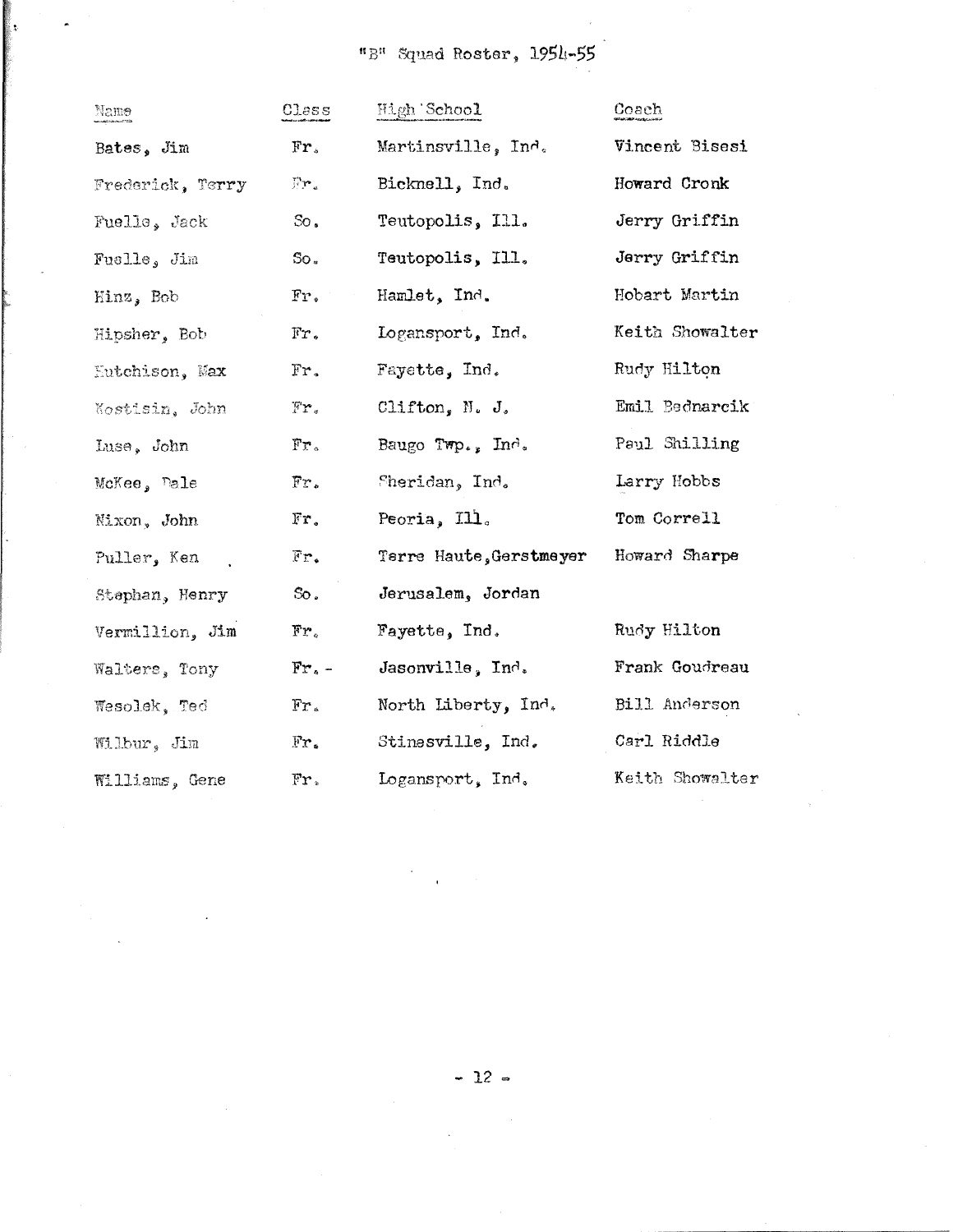"B" Squad Roster, 1954-55

| Name                   | Class                            | High 'School            | Coach           |
|------------------------|----------------------------------|-------------------------|-----------------|
| Bates, Jim             | Fr,                              | Martinsville, Ind.      | Vincent Bisesi  |
| Frederick, Terry       | Fr.                              | Bicknell, Ind.          | Howard Cronk    |
| Fuelle, Jack           | $\infty$ .                       | Teutopolis, Ill.        | Jerry Griffin   |
| Fuslle, Jim            | So.                              | Teutopolis, Ill.        | Jerry Griffin   |
| Hinz, Bob              | $Fr_{\bullet}$                   | Hamlet, Ind.            | Hobart Martin   |
| Hipsher, Bob           | $\mathbb{F}r$ .                  | Logansport, Ind.        | Keith Showalter |
| <b>Eutchison</b> , Max | Fr.                              | Fayette, Ind.           | Rudy Hilton     |
| Kostisin, John         | $\mathbb{F}\mathbf{r}_{\bullet}$ | Clifton, N. $J_s$       | Emil Bednarcik  |
| Luse, John             | Fr <sub>o</sub>                  | Baugo Twp., Ind.        | Paul Shilling   |
| McKee, Dale            | Fr.                              | Sheridan, Ind.          | Larry Hobbs     |
| Nixon, John            | $Fr$ .                           | Peoria, Ill.            | Tom Correll     |
| Puller, Ken            | Fr.                              | Terre Haute, Gerstmeyer | Howard Sharpe   |
| Stephan, Henry         | $\infty$ .                       | Jerusalem, Jordan       |                 |
| Vermillion, Jim        | $\mathbf{Fr}_\circ$              | Fayette, Ind.           | Rudy Hilton     |
| Walters, Tony          | $Fr -$                           | Jasonville, $Ind.$      | Frank Goudreau  |
| Wesolek, Ted           | $Fr$ .                           | North Liberty, Ind.     | Bill Anderson   |
| Wilbur, Jim            | $Fx$ .                           | Stinesville, Ind.       | Carl Riddle     |
| Williams, Gene         | Fr.                              | Logansport, Ind.        | Keith Showalter |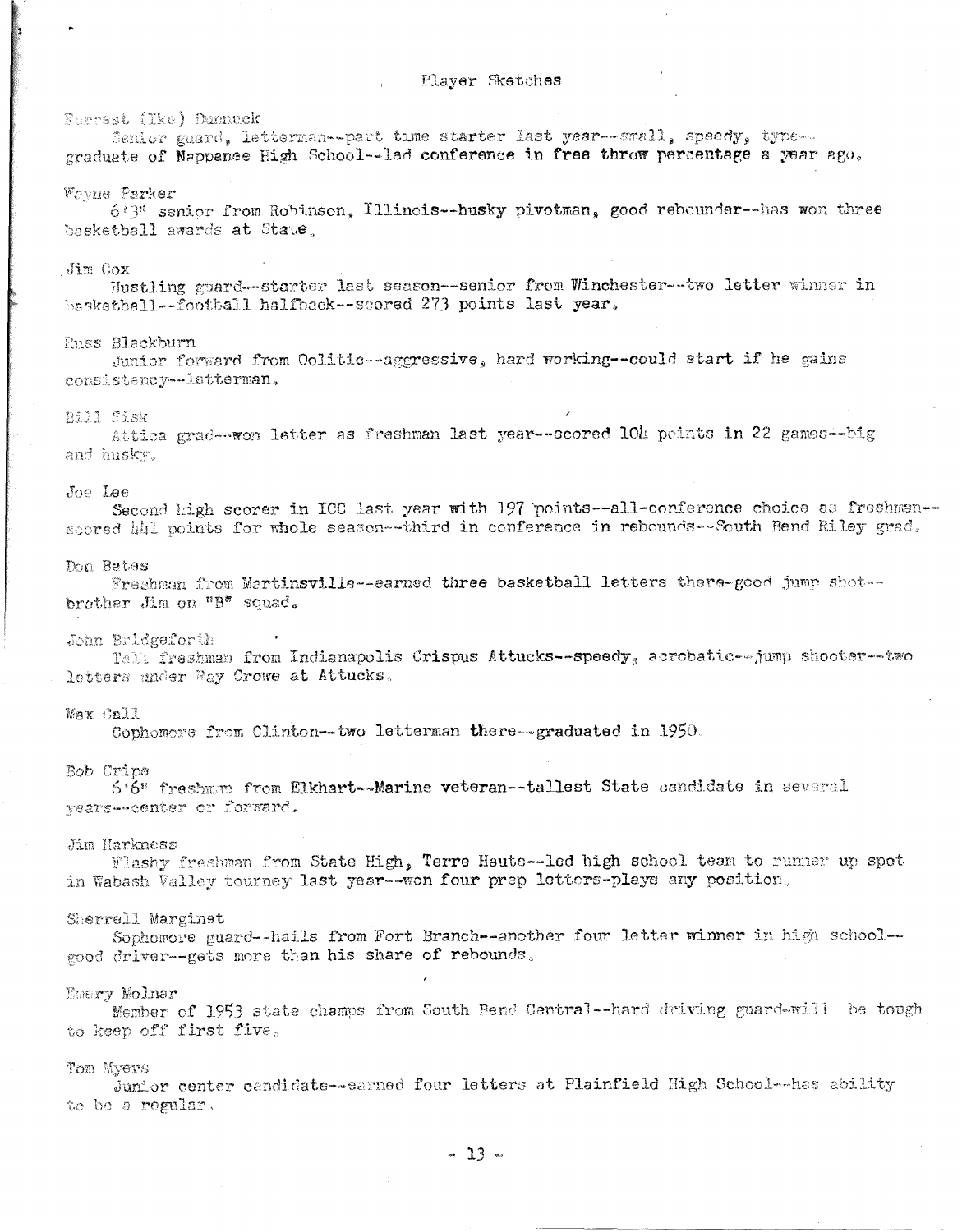#### Forrest (Tke) Dunnuck

Senior guard, letterman--part time starter last year--small, speedy, type-graduate of Nappance High School--led conference in free throw percentage a year ago.

#### Vayne Parker

6:3" senior from Robinson, Illinois--husky pivotman, good rebounder--has won three basketball awards at State.

#### Jim Cox

Hustling guard--starter last season--senior from Winchester--two letter winner in basketball -- football halfback -- scored 273 points last year.

### Russ Blackburn

Junior forward from Oolitic -- aggressive, hard working -- could start if he gains consistency -- letterman.

#### Bill Sisk

Attica grad--won letter as freshman last year--scored 104 peints in 22 games--big and husky.

#### Joe Lee

Second high scorer in ICC last year with 197 points--all-conference choice as freshman-scored hhl points for whole season--third in conference in rebounds--South Bend Riley grad.

#### Don Bates

Freshman from Martinsville--earned three basketball letters there-good jump shot -brother Jim on "B" squad.

#### John Bridgeforth

Tall freshman from Indianapolis Crispus Attucks--speedy, acrobatic--jump shooter--two letters under Ray Crowe at Attucks.

#### Max Call

Cophomore from Clinton--two letterman there--graduated in 1950.

#### Bob Cripe

6'6" freshman from Elkhart--Marine veteran--tallest State candidate in several years--center or forward.

# Jim Harkness

Flashy freshman from State High, Terre Haute--led high school team to runner up spot in Wabash Valley tourney last year--won four prep letters-plays any position.

#### Sherrell Marginet

Sophomore guard--hails from Fort Branch--another four letter winner in high school-good driver--gets more than his share of rebounds.

#### Emery Molnar

Member of 1953 state champs from South Bend Central--hard driving guard-will be tough to keep off first five.

#### Tom Myers

Junior center candidate--sarned four letters at Plainfield High School--has ability to be a regular.